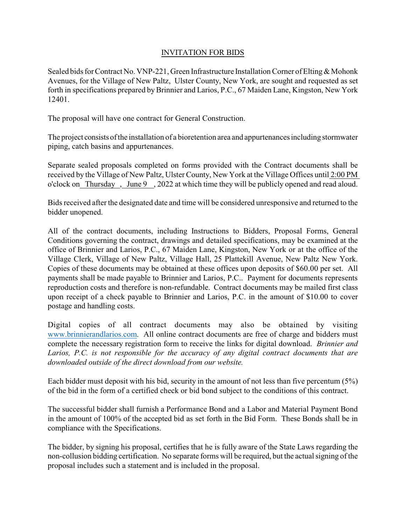## INVITATION FOR BIDS

Sealed bids for Contract No. VNP-221, Green Infrastructure Installation Corner of Elting & Mohonk Avenues, for the Village of New Paltz, Ulster County, New York, are sought and requested as set forth in specifications prepared by Brinnier and Larios, P.C., 67 Maiden Lane, Kingston, New York 12401.

The proposal will have one contract for General Construction.

The project consists of the installation of a bioretention area and appurtenances including stormwater piping, catch basins and appurtenances.

Separate sealed proposals completed on forms provided with the Contract documents shall be received by the Village of New Paltz, Ulster County, New York at the Village Offices until 2:00 PM o'clock on Thursday , June 9 , 2022 at which time they will be publicly opened and read aloud.

Bids received after the designated date and time will be considered unresponsive and returned to the bidder unopened.

All of the contract documents, including Instructions to Bidders, Proposal Forms, General Conditions governing the contract, drawings and detailed specifications, may be examined at the office of Brinnier and Larios, P.C., 67 Maiden Lane, Kingston, New York or at the office of the Village Clerk, Village of New Paltz, Village Hall, 25 Plattekill Avenue, New Paltz New York. Copies of these documents may be obtained at these offices upon deposits of \$60.00 per set. All payments shall be made payable to Brinnier and Larios, P.C.. Payment for documents represents reproduction costs and therefore is non-refundable. Contract documents may be mailed first class upon receipt of a check payable to Brinnier and Larios, P.C. in the amount of \$10.00 to cover postage and handling costs.

Digital copies of all contract documents may also be obtained by visiting [www.brinnierandlarios.com](http://www.brinnierandlarios.com). All online contract documents are free of charge and bidders must complete the necessary registration form to receive the links for digital download. *Brinnier and Larios, P.C. is not responsible for the accuracy of any digital contract documents that are downloaded outside of the direct download from our website.*

Each bidder must deposit with his bid, security in the amount of not less than five percentum (5%) of the bid in the form of a certified check or bid bond subject to the conditions of this contract.

The successful bidder shall furnish a Performance Bond and a Labor and Material Payment Bond in the amount of 100% of the accepted bid as set forth in the Bid Form. These Bonds shall be in compliance with the Specifications.

The bidder, by signing his proposal, certifies that he is fully aware of the State Laws regarding the non-collusion bidding certification. No separate forms will be required, but the actual signing of the proposal includes such a statement and is included in the proposal.